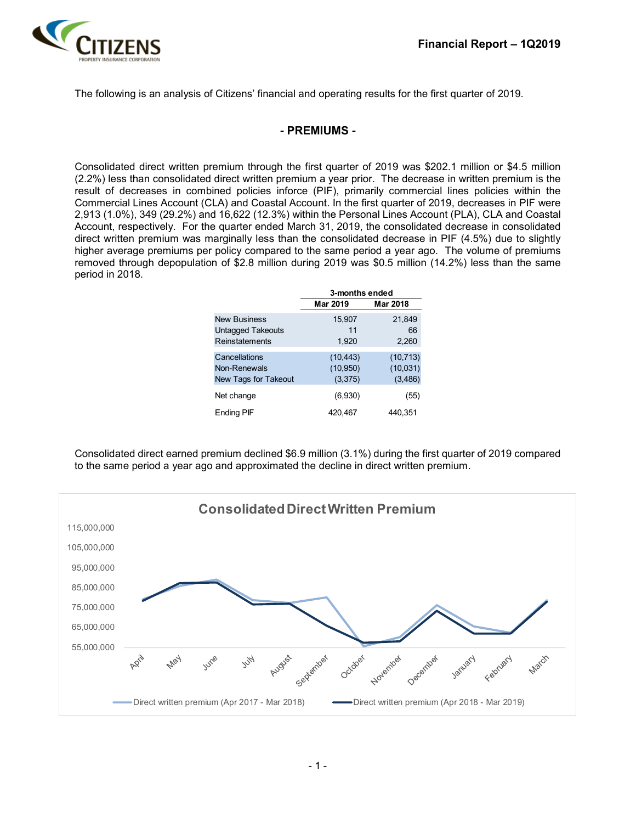

The following is an analysis of Citizens' financial and operating results for the first quarter of 2019.

### **- PREMIUMS -**

Consolidated direct written premium through the first quarter of 2019 was \$202.1 million or \$4.5 million (2.2%) less than consolidated direct written premium a year prior. The decrease in written premium is the result of decreases in combined policies inforce (PIF), primarily commercial lines policies within the Commercial Lines Account (CLA) and Coastal Account. In the first quarter of 2019, decreases in PIF were 2,913 (1.0%), 349 (29.2%) and 16,622 (12.3%) within the Personal Lines Account (PLA), CLA and Coastal Account, respectively. For the quarter ended March 31, 2019, the consolidated decrease in consolidated direct written premium was marginally less than the consolidated decrease in PIF (4.5%) due to slightly higher average premiums per policy compared to the same period a year ago. The volume of premiums removed through depopulation of \$2.8 million during 2019 was \$0.5 million (14.2%) less than the same period in 2018.

|                          | 3-months ended |           |  |  |  |  |
|--------------------------|----------------|-----------|--|--|--|--|
|                          | Mar 2019       | Mar 2018  |  |  |  |  |
| <b>New Business</b>      | 15,907         | 21,849    |  |  |  |  |
| <b>Untagged Takeouts</b> | 11             | 66        |  |  |  |  |
| Reinstatements           | 1,920          | 2,260     |  |  |  |  |
| Cancellations            | (10, 443)      | (10, 713) |  |  |  |  |
| Non-Renewals             | (10, 950)      | (10,031)  |  |  |  |  |
| New Tags for Takeout     | (3,375)        | (3, 486)  |  |  |  |  |
| Net change               | (6,930)        | (55)      |  |  |  |  |
| Ending PIF               | 420,467        | 440,351   |  |  |  |  |

Consolidated direct earned premium declined \$6.9 million (3.1%) during the first quarter of 2019 compared to the same period a year ago and approximated the decline in direct written premium.

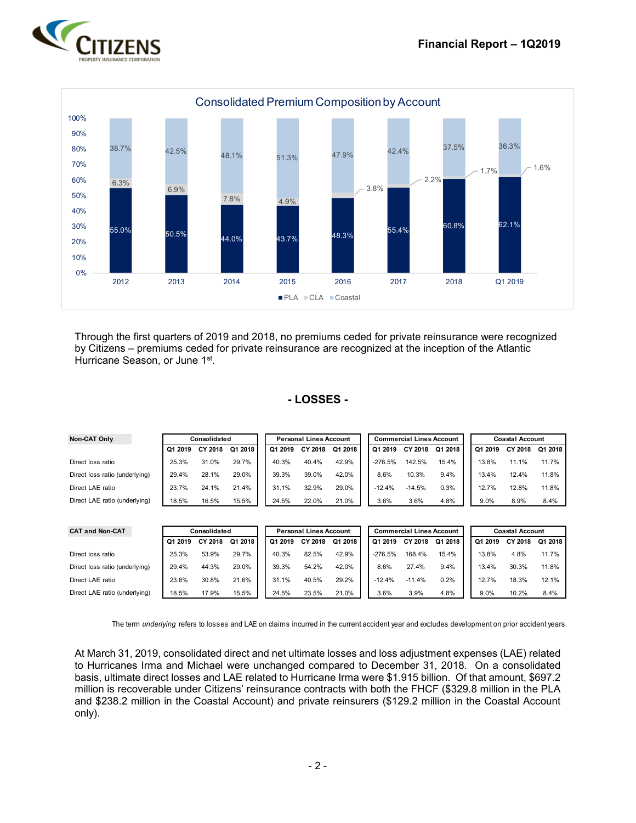



Through the first quarters of 2019 and 2018, no premiums ceded for private reinsurance were recognized by Citizens – premiums ceded for private reinsurance are recognized at the inception of the Atlantic Hurricane Season, or June 1<sup>st</sup>.

#### **- LOSSES -**

| <b>Non-CAT Only</b>            | Consolidated |         | <b>Personal Lines Account</b> |         |         |         | <b>Commercial Lines Account</b> |           |          | <b>Coastal Account</b> |         |         |         |
|--------------------------------|--------------|---------|-------------------------------|---------|---------|---------|---------------------------------|-----------|----------|------------------------|---------|---------|---------|
|                                | Q1 2019      | CY 2018 | Q1 2018                       | Q1 2019 | CY 2018 | Q1 2018 |                                 | Q1 2019   | CY 2018  | Q1 2018                | Q1 2019 | CY 2018 | Q1 2018 |
| Direct loss ratio              | 25.3%        | 31.0%   | 29.7%                         | 40.3%   | 40.4%   | 42.9%   |                                 | $-276.5%$ | 142.5%   | 15.4%                  | 13.8%   | 11.1%   | 11.7%   |
| Direct loss ratio (underlying) | 29.4%        | 28.1%   | 29.0%                         | 39.3%   | 39.0%   | 42.0%   |                                 | 8.6%      | 10.3%    | 9.4%                   | 13.4%   | 12.4%   | 11.8%   |
| Direct LAE ratio               | 23.7%        | 24.1%   | 21.4%                         | 31.1%   | 32.9%   | 29.0%   |                                 | $-12.4%$  | $-14.5%$ | 0.3%                   | 12.7%   | 12.8%   | 11.8%   |
| Direct LAE ratio (underlying)  | 18.5%        | 16.5%   | 15.5%                         | 24.5%   | 22.0%   | 21.0%   |                                 | 3.6%      | 3.6%     | 4.8%                   | 9.0%    | 8.9%    | 8.4%    |

| <b>CAT and Non-CAT</b>         | Consolidated |         |         | <b>Personal Lines Account</b> |         |         |  | <b>Commercial Lines Account</b> |          |         |  | <b>Coastal Account</b> |         |         |
|--------------------------------|--------------|---------|---------|-------------------------------|---------|---------|--|---------------------------------|----------|---------|--|------------------------|---------|---------|
|                                | Q1 2019      | CY 2018 | Q1 2018 | Q1 2019                       | CY 2018 | Q1 2018 |  | Q1 2019                         | CY 2018  | Q1 2018 |  | Q1 2019                | CY 2018 | Q1 2018 |
| Direct loss ratio              | 25.3%        | 53.9%   | 29.7%   | 40.3%                         | 82.5%   | 42.9%   |  | $-276.5%$                       | 168.4%   | 15.4%   |  | 13.8%                  | 4.8%    | 11.7%   |
| Direct loss ratio (underlying) | 29.4%        | 44.3%   | 29.0%   | 39.3%                         | 54.2%   | 42.0%   |  | 8.6%                            | 27.4%    | 9.4%    |  | 13.4%                  | 30.3%   | 11.8%   |
| Direct LAE ratio               | 23.6%        | 30.8%   | 21.6%   | 31.1%                         | 40.5%   | 29.2%   |  | $-12.4%$                        | $-11.4%$ | 0.2%    |  | 12.7%                  | 18.3%   | 12.1%   |
| Direct LAE ratio (underlying)  | 18.5%        | 17.9%   | 15.5%   | 24.5%                         | 23.5%   | 21.0%   |  | 3.6%                            | 3.9%     | 4.8%    |  | 9.0%                   | 10.2%   | 8.4%    |

The term *underlying* refers to losses and LAE on claims incurred in the current accident year and excludes development on prior accident years

At March 31, 2019, consolidated direct and net ultimate losses and loss adjustment expenses (LAE) related to Hurricanes Irma and Michael were unchanged compared to December 31, 2018. On a consolidated basis, ultimate direct losses and LAE related to Hurricane Irma were \$1.915 billion. Of that amount, \$697.2 million is recoverable under Citizens' reinsurance contracts with both the FHCF (\$329.8 million in the PLA and \$238.2 million in the Coastal Account) and private reinsurers (\$129.2 million in the Coastal Account only).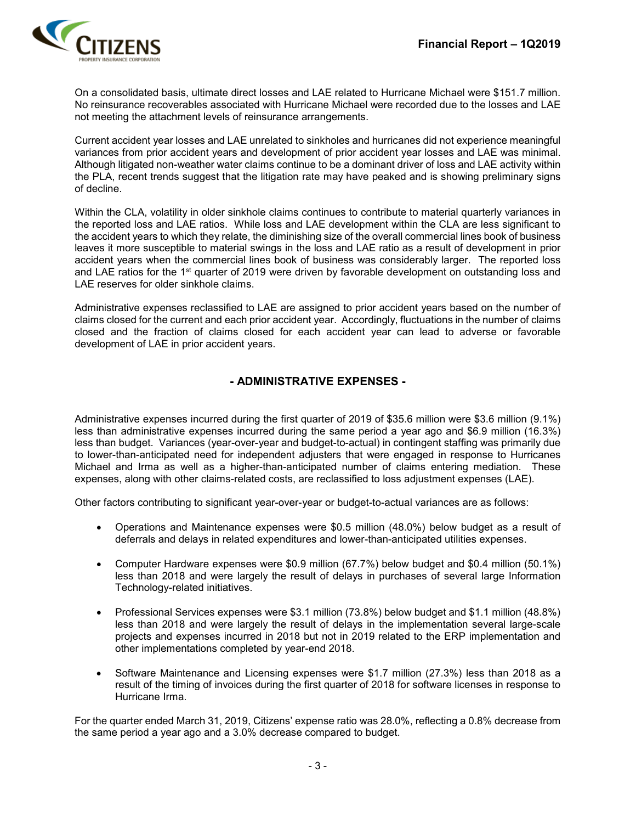

On a consolidated basis, ultimate direct losses and LAE related to Hurricane Michael were \$151.7 million. No reinsurance recoverables associated with Hurricane Michael were recorded due to the losses and LAE not meeting the attachment levels of reinsurance arrangements.

Current accident year losses and LAE unrelated to sinkholes and hurricanes did not experience meaningful variances from prior accident years and development of prior accident year losses and LAE was minimal. Although litigated non-weather water claims continue to be a dominant driver of loss and LAE activity within the PLA, recent trends suggest that the litigation rate may have peaked and is showing preliminary signs of decline.

Within the CLA, volatility in older sinkhole claims continues to contribute to material quarterly variances in the reported loss and LAE ratios. While loss and LAE development within the CLA are less significant to the accident years to which they relate, the diminishing size of the overall commercial lines book of business leaves it more susceptible to material swings in the loss and LAE ratio as a result of development in prior accident years when the commercial lines book of business was considerably larger. The reported loss and LAE ratios for the 1<sup>st</sup> quarter of 2019 were driven by favorable development on outstanding loss and LAE reserves for older sinkhole claims.

Administrative expenses reclassified to LAE are assigned to prior accident years based on the number of claims closed for the current and each prior accident year. Accordingly, fluctuations in the number of claims closed and the fraction of claims closed for each accident year can lead to adverse or favorable development of LAE in prior accident years.

## **- ADMINISTRATIVE EXPENSES -**

Administrative expenses incurred during the first quarter of 2019 of \$35.6 million were \$3.6 million (9.1%) less than administrative expenses incurred during the same period a year ago and \$6.9 million (16.3%) less than budget. Variances (year-over-year and budget-to-actual) in contingent staffing was primarily due to lower-than-anticipated need for independent adjusters that were engaged in response to Hurricanes Michael and Irma as well as a higher-than-anticipated number of claims entering mediation. These expenses, along with other claims-related costs, are reclassified to loss adjustment expenses (LAE).

Other factors contributing to significant year-over-year or budget-to-actual variances are as follows:

- Operations and Maintenance expenses were \$0.5 million (48.0%) below budget as a result of deferrals and delays in related expenditures and lower-than-anticipated utilities expenses.
- Computer Hardware expenses were \$0.9 million (67.7%) below budget and \$0.4 million (50.1%) less than 2018 and were largely the result of delays in purchases of several large Information Technology-related initiatives.
- Professional Services expenses were \$3.1 million (73.8%) below budget and \$1.1 million (48.8%) less than 2018 and were largely the result of delays in the implementation several large-scale projects and expenses incurred in 2018 but not in 2019 related to the ERP implementation and other implementations completed by year-end 2018.
- Software Maintenance and Licensing expenses were \$1.7 million (27.3%) less than 2018 as a result of the timing of invoices during the first quarter of 2018 for software licenses in response to Hurricane Irma.

For the quarter ended March 31, 2019, Citizens' expense ratio was 28.0%, reflecting a 0.8% decrease from the same period a year ago and a 3.0% decrease compared to budget.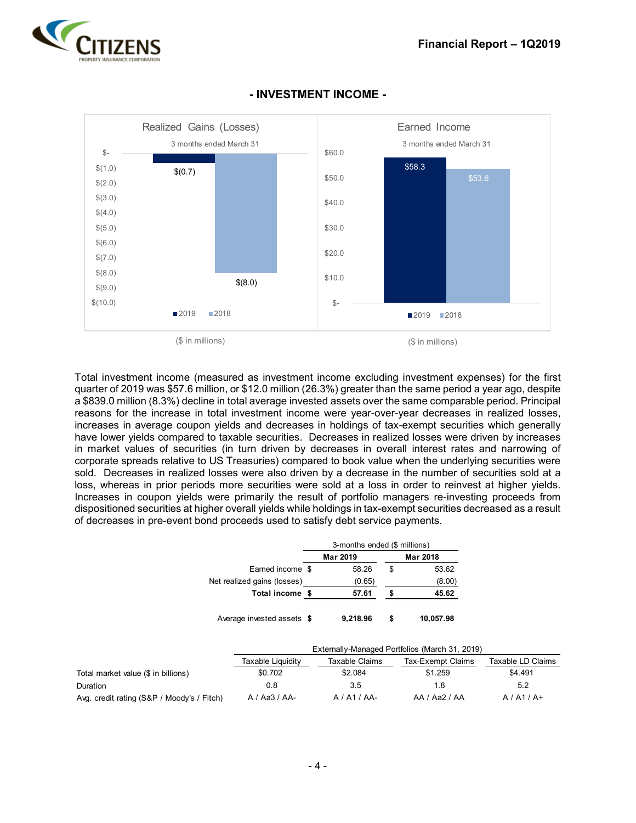



### **- INVESTMENT INCOME -**

Total investment income (measured as investment income excluding investment expenses) for the first quarter of 2019 was \$57.6 million, or \$12.0 million (26.3%) greater than the same period a year ago, despite a \$839.0 million (8.3%) decline in total average invested assets over the same comparable period. Principal reasons for the increase in total investment income were year-over-year decreases in realized losses, increases in average coupon yields and decreases in holdings of tax-exempt securities which generally have lower yields compared to taxable securities. Decreases in realized losses were driven by increases in market values of securities (in turn driven by decreases in overall interest rates and narrowing of corporate spreads relative to US Treasuries) compared to book value when the underlying securities were sold. Decreases in realized losses were also driven by a decrease in the number of securities sold at a loss, whereas in prior periods more securities were sold at a loss in order to reinvest at higher yields. Increases in coupon yields were primarily the result of portfolio managers re-investing proceeds from dispositioned securities at higher overall yields while holdings in tax-exempt securities decreased as a result of decreases in pre-event bond proceeds used to satisfy debt service payments.

|                                     |                             | 3-months ended (\$ millions) |    |                                                |                   |
|-------------------------------------|-----------------------------|------------------------------|----|------------------------------------------------|-------------------|
|                                     |                             | Mar 2019                     |    | Mar 2018                                       |                   |
|                                     | Earned income \$            | 58.26                        | \$ | 53.62                                          |                   |
|                                     | Net realized gains (losses) | (0.65)                       |    | (8.00)                                         |                   |
|                                     | Total income \$             | 57.61                        |    | 45.62                                          |                   |
|                                     | Average invested assets \$  | 9,218.96                     | \$ | 10,057.98                                      |                   |
|                                     |                             |                              |    | Externally-Managed Portfolios (March 31, 2019) |                   |
|                                     | Taxable Liquidity           | Taxable Claims               |    | Tax-Exempt Claims                              | Taxable LD Claims |
| Total market value (\$ in billions) | \$0.702                     | \$2.084                      |    | \$1.259                                        | \$4.491           |
| Duration                            | 0.8                         | 3.5                          |    | 1.8                                            | 5.2               |